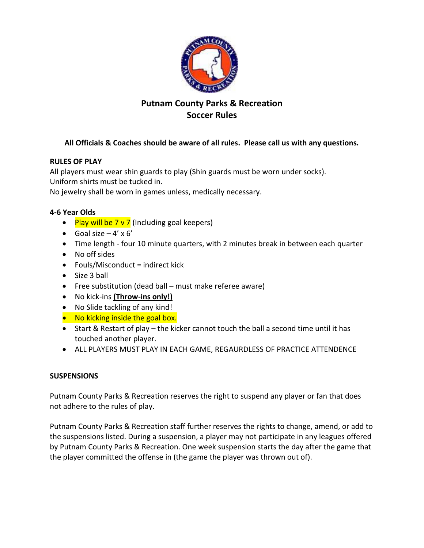

# **Putnam County Parks & Recreation Soccer Rules**

## **All Officials & Coaches should be aware of all rules. Please call us with any questions.**

## **RULES OF PLAY**

All players must wear shin guards to play (Shin guards must be worn under socks). Uniform shirts must be tucked in.

No jewelry shall be worn in games unless, medically necessary.

## **4-6 Year Olds**

- Play will be  $7 \vee 7$  (Including goal keepers)
- Goal size  $-4' \times 6'$
- Time length four 10 minute quarters, with 2 minutes break in between each quarter
- No off sides
- $\bullet$  Fouls/Misconduct = indirect kick
- Size 3 ball
- Free substitution (dead ball must make referee aware)
- No kick-ins **(Throw-ins only!)**
- No Slide tackling of any kind!
- No kicking inside the goal box.
- Start & Restart of play the kicker cannot touch the ball a second time until it has touched another player.
- ALL PLAYERS MUST PLAY IN EACH GAME, REGAURDLESS OF PRACTICE ATTENDENCE

#### **SUSPENSIONS**

Putnam County Parks & Recreation reserves the right to suspend any player or fan that does not adhere to the rules of play.

Putnam County Parks & Recreation staff further reserves the rights to change, amend, or add to the suspensions listed. During a suspension, a player may not participate in any leagues offered by Putnam County Parks & Recreation. One week suspension starts the day after the game that the player committed the offense in (the game the player was thrown out of).